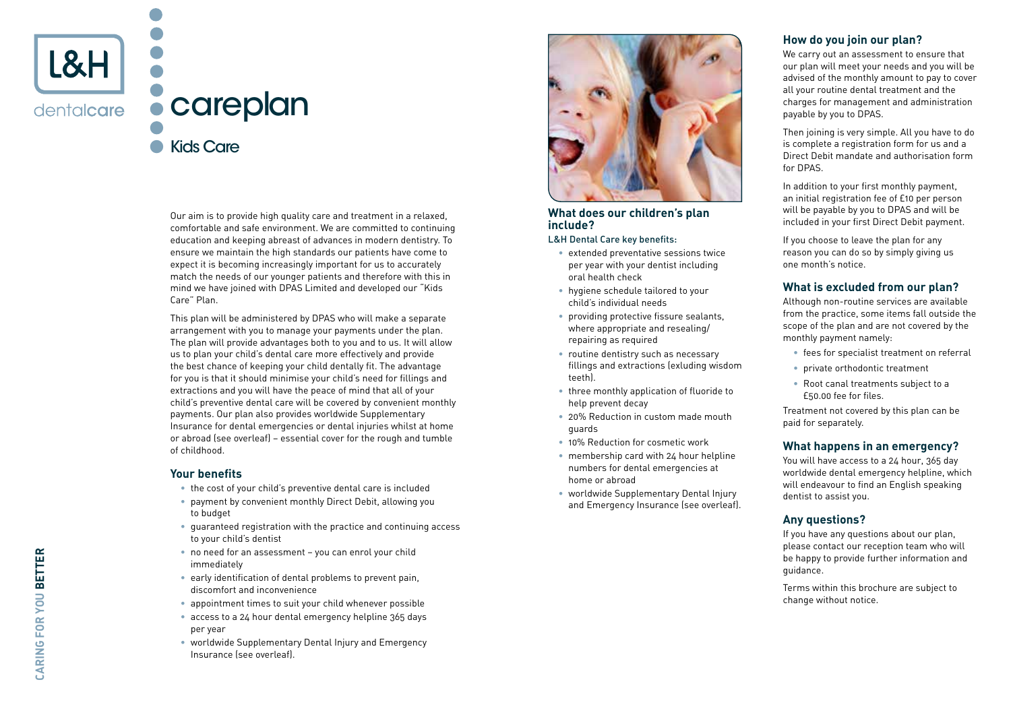

Our aim is to provide high quality care and treatment in a relaxed, comfortable and safe environment. We are committed to continuing education and keeping abreast of advances in modern dentistry. To ensure we maintain the high standards our patients have come to expect it is becoming increasingly important for us to accurately match the needs of our younger patients and therefore with this in mind we have joined with DPAS Limited and developed our "Kids Care" Plan.

This plan will be administered by DPAS who will make a separate arrangement with you to manage your payments under the plan. The plan will provide advantages both to you and to us. It will allow us to plan your child's dental care more effectively and provide the best chance of keeping your child dentally fit. The advantage for you is that it should minimise your child's need for fillings and extractions and you will have the peace of mind that all of your child's preventive dental care will be covered by convenient monthly payments. Our plan also provides worldwide Supplementary Insurance for dental emergencies or dental injuries whilst at home or abroad (see overleaf) – essential cover for the rough and tumble of childhood.

#### **Your benefits**

- the cost of your child's preventive dental care is included
- payment by convenient monthly Direct Debit, allowing you to budget
- guaranteed registration with the practice and continuing access to your child's dentist
- no need for an assessment you can enrol your child immediately
- early identification of dental problems to prevent pain, discomfort and inconvenience
- appointment times to suit your child whenever possible
- access to a 24 hour dental emergency helpline 365 days per year
- worldwide Supplementary Dental Injury and Emergency Insurance (see overleaf).



#### **What does our children's plan include?**

#### L&H Dental Care key benefits:

- extended preventative sessions twice per year with your dentist including oral health check
- hygiene schedule tailored to your child's individual needs
- providing protective fissure sealants, where appropriate and resealing/ repairing as required
- routine dentistry such as necessary fillings and extractions (exluding wisdom teeth).
- three monthly application of fluoride to help prevent decay
- 20% Reduction in custom made mouth guards
- 10% Reduction for cosmetic work
- membership card with 24 hour helpline numbers for dental emergencies at home or abroad
- worldwide Supplementary Dental Injury and Emergency Insurance (see overleaf).

# **How do you join our plan?**

We carry out an assessment to ensure that our plan will meet your needs and you will be advised of the monthly amount to pay to cover all your routine dental treatment and the charges for management and administration payable by you to DPAS.

Then joining is very simple. All you have to do is complete a registration form for us and a Direct Debit mandate and authorisation form for DPAS.

In addition to your first monthly payment, an initial registration fee of £10 per person will be payable by you to DPAS and will be included in your first Direct Debit payment.

If you choose to leave the plan for any reason you can do so by simply giving us one month's notice.

# **What is excluded from our plan?**

Although non-routine services are available from the practice, some items fall outside the scope of the plan and are not covered by the monthly payment namely:

- fees for specialist treatment on referral
- private orthodontic treatment
- Root canal treatments subject to a £50.00 fee for files.

Treatment not covered by this plan can be paid for separately.

#### **What happens in an emergency?**

You will have access to a 24 hour, 365 day worldwide dental emergency helpline, which will endeavour to find an English speaking dentist to assist you.

## **Any questions?**

If you have any questions about our plan, please contact our reception team who will be happy to provide further information and guidance.

Terms within this brochure are subject to change without notice.